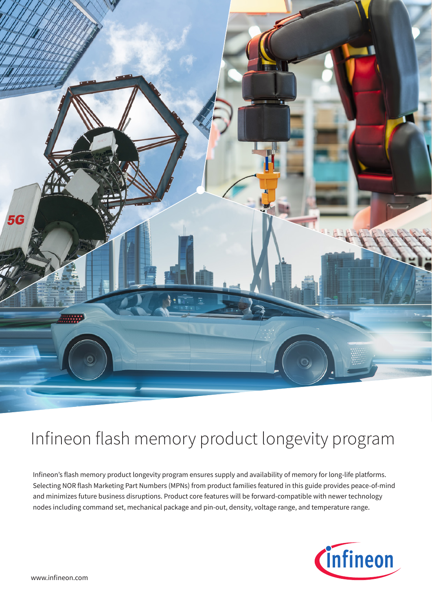

# Infineon flash memory product longevity program

Infineon's flash memory product longevity program ensures supply and availability of memory for long-life platforms. Selecting NOR flash Marketing Part Numbers (MPNs) from product families featured in this guide provides peace-of-mind and minimizes future business disruptions. Product core features will be forward-compatible with newer technology nodes including command set, mechanical package and pin-out, density, voltage range, and temperature range.